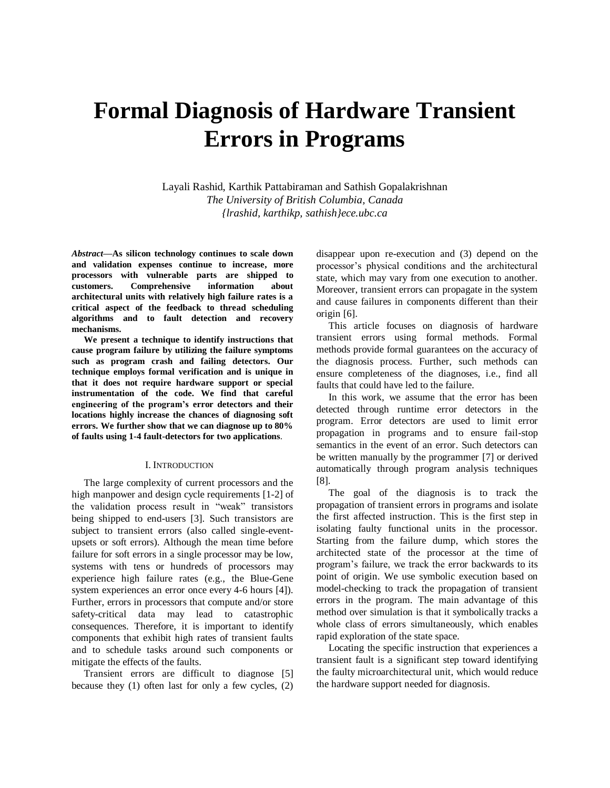# **Formal Diagnosis of Hardware Transient Errors in Programs**

Layali Rashid, Karthik Pattabiraman and Sathish Gopalakrishnan *The University of British Columbia, Canada {lrashid, karthikp, sathish}ece.ubc.ca*

*Abstract—***As silicon technology continues to scale down and validation expenses continue to increase, more processors with vulnerable parts are shipped to customers. Comprehensive information about architectural units with relatively high failure rates is a critical aspect of the feedback to thread scheduling algorithms and to fault detection and recovery mechanisms.**

**We present a technique to identify instructions that cause program failure by utilizing the failure symptoms such as program crash and failing detectors. Our technique employs formal verification and is unique in that it does not require hardware support or special instrumentation of the code. We find that careful engineering of the program's error detectors and their locations highly increase the chances of diagnosing soft errors. We further show that we can diagnose up to 80% of faults using 1-4 fault-detectors for two applications**.

## I. INTRODUCTION

The large complexity of current processors and the high manpower and design cycle requirements [1-2] of the validation process result in "weak" transistors being shipped to end-users [3]. Such transistors are subject to transient errors (also called single-eventupsets or soft errors). Although the mean time before failure for soft errors in a single processor may be low, systems with tens or hundreds of processors may experience high failure rates (e.g., the Blue-Gene system experiences an error once every 4-6 hours [4]). Further, errors in processors that compute and/or store safety-critical data may lead to catastrophic consequences. Therefore, it is important to identify components that exhibit high rates of transient faults and to schedule tasks around such components or mitigate the effects of the faults.

Transient errors are difficult to diagnose [5] because they (1) often last for only a few cycles, (2) disappear upon re-execution and (3) depend on the processor"s physical conditions and the architectural state, which may vary from one execution to another. Moreover, transient errors can propagate in the system and cause failures in components different than their origin [6].

This article focuses on diagnosis of hardware transient errors using formal methods. Formal methods provide formal guarantees on the accuracy of the diagnosis process. Further, such methods can ensure completeness of the diagnoses, i.e., find all faults that could have led to the failure.

In this work, we assume that the error has been detected through runtime error detectors in the program. Error detectors are used to limit error propagation in programs and to ensure fail-stop semantics in the event of an error. Such detectors can be written manually by the programmer [7] or derived automatically through program analysis techniques [8].

The goal of the diagnosis is to track the propagation of transient errors in programs and isolate the first affected instruction. This is the first step in isolating faulty functional units in the processor. Starting from the failure dump, which stores the architected state of the processor at the time of program"s failure, we track the error backwards to its point of origin. We use symbolic execution based on model-checking to track the propagation of transient errors in the program. The main advantage of this method over simulation is that it symbolically tracks a whole class of errors simultaneously, which enables rapid exploration of the state space.

Locating the specific instruction that experiences a transient fault is a significant step toward identifying the faulty microarchitectural unit, which would reduce the hardware support needed for diagnosis.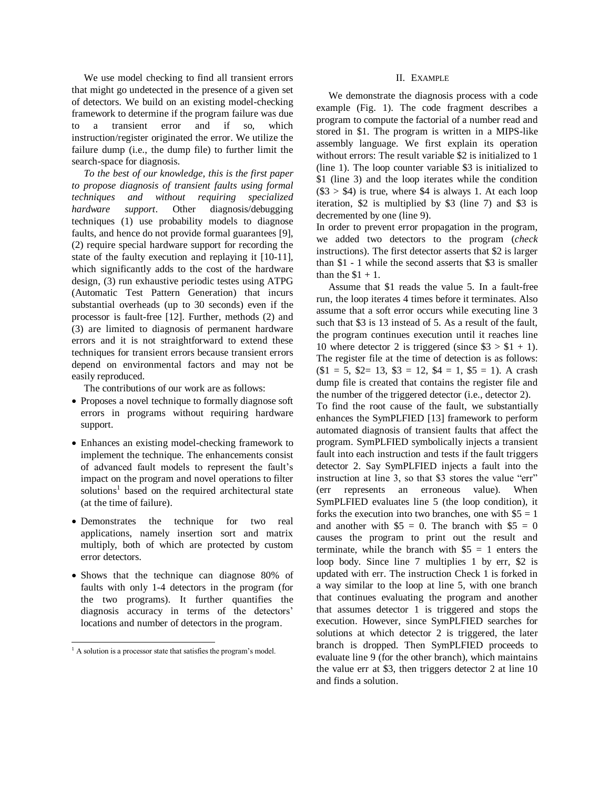We use model checking to find all transient errors that might go undetected in the presence of a given set of detectors. We build on an existing model-checking framework to determine if the program failure was due to a transient error and if so, which instruction/register originated the error. We utilize the failure dump (i.e., the dump file) to further limit the search-space for diagnosis.

*To the best of our knowledge, this is the first paper to propose diagnosis of transient faults using formal techniques and without requiring specialized hardware support*. Other diagnosis/debugging techniques (1) use probability models to diagnose faults, and hence do not provide formal guarantees [9], (2) require special hardware support for recording the state of the faulty execution and replaying it [10-11], which significantly adds to the cost of the hardware design, (3) run exhaustive periodic testes using ATPG (Automatic Test Pattern Generation) that incurs substantial overheads (up to 30 seconds) even if the processor is fault-free [12]. Further, methods (2) and (3) are limited to diagnosis of permanent hardware errors and it is not straightforward to extend these techniques for transient errors because transient errors depend on environmental factors and may not be easily reproduced.

The contributions of our work are as follows:

- Proposes a novel technique to formally diagnose soft errors in programs without requiring hardware support.
- Enhances an existing model-checking framework to implement the technique. The enhancements consist of advanced fault models to represent the fault"s impact on the program and novel operations to filter solutions<sup>1</sup> based on the required architectural state (at the time of failure).
- Demonstrates the technique for two real applications, namely insertion sort and matrix multiply, both of which are protected by custom error detectors.
- Shows that the technique can diagnose 80% of faults with only 1-4 detectors in the program (for the two programs). It further quantifies the diagnosis accuracy in terms of the detectors' locations and number of detectors in the program.

 $\overline{a}$ 

## II. EXAMPLE

We demonstrate the diagnosis process with a code example (Fig. 1). The code fragment describes a program to compute the factorial of a number read and stored in \$1. The program is written in a MIPS-like assembly language. We first explain its operation without errors: The result variable \$2 is initialized to 1 (line 1). The loop counter variable \$3 is initialized to \$1 (line 3) and the loop iterates while the condition  $(\$3 > \$4)$  is true, where  $\$4$  is always 1. At each loop iteration, \$2 is multiplied by \$3 (line 7) and \$3 is decremented by one (line 9).

In order to prevent error propagation in the program, we added two detectors to the program (*check*  instructions). The first detector asserts that \$2 is larger than \$1 - 1 while the second asserts that \$3 is smaller than the  $$1 + 1$ .

Assume that \$1 reads the value 5. In a fault-free run, the loop iterates 4 times before it terminates. Also assume that a soft error occurs while executing line 3 such that \$3 is 13 instead of 5. As a result of the fault, the program continues execution until it reaches line 10 where detector 2 is triggered (since  $$3 > $1 + 1$ ). The register file at the time of detection is as follows:  $$1 = 5, $2 = 13, $3 = 12, $4 = 1, $5 = 1$ . A crash dump file is created that contains the register file and the number of the triggered detector (i.e., detector 2). To find the root cause of the fault, we substantially enhances the SymPLFIED [13] framework to perform automated diagnosis of transient faults that affect the program. SymPLFIED symbolically injects a transient fault into each instruction and tests if the fault triggers detector 2. Say SymPLFIED injects a fault into the instruction at line 3, so that \$3 stores the value "err" (err represents an erroneous value). When SymPLFIED evaluates line 5 (the loop condition), it forks the execution into two branches, one with  $$5 = 1$ and another with  $$5 = 0$ . The branch with  $$5 = 0$ causes the program to print out the result and terminate, while the branch with  $$5 = 1$  enters the loop body. Since line 7 multiplies 1 by err, \$2 is updated with err. The instruction Check 1 is forked in a way similar to the loop at line 5, with one branch that continues evaluating the program and another that assumes detector 1 is triggered and stops the execution. However, since SymPLFIED searches for solutions at which detector 2 is triggered, the later branch is dropped. Then SymPLFIED proceeds to evaluate line 9 (for the other branch), which maintains the value err at \$3, then triggers detector 2 at line 10 and finds a solution.

 $<sup>1</sup>$  A solution is a processor state that satisfies the program's model.</sup>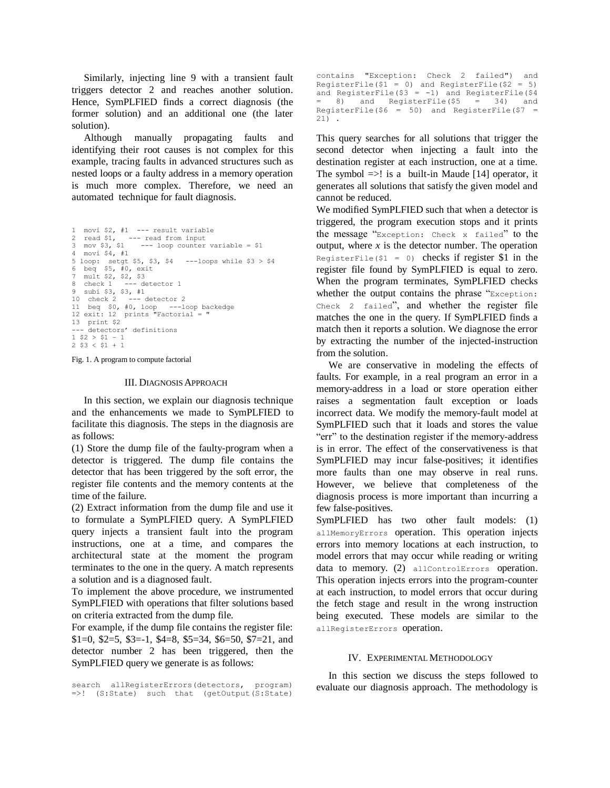Similarly, injecting line 9 with a transient fault triggers detector 2 and reaches another solution. Hence, SymPLFIED finds a correct diagnosis (the former solution) and an additional one (the later solution).

Although manually propagating faults and identifying their root causes is not complex for this example, tracing faults in advanced structures such as nested loops or a faulty address in a memory operation is much more complex. Therefore, we need an automated technique for fault diagnosis.

```
1 movi $2, #1 --- result variable
2 read $1, --- read from input
3 mov $3, $1 --- loop counter variable = $1
4 movi $4, #1
5 loop: setgt $5, $3, $4 ---loops while $3 > $4
6 beq $5, #0, exit
7 mult $2, $2, $3
  0.8 check 1 --- detector 1
9 subi $3, $3, #1<br>10 check 2 --- c
                  --- detector 2
11 beq $0, #0, loop ---loop backedge
12 exit: 12 prints "Factorial = "
13 print $2
--- detectors' definitions
1 $2 > $1 - 1
2 $3 < $1 + 1
```
Fig. 1. A program to compute factorial

## III. DIAGNOSIS APPROACH

In this section, we explain our diagnosis technique and the enhancements we made to SymPLFIED to facilitate this diagnosis. The steps in the diagnosis are as follows:

(1) Store the dump file of the faulty-program when a detector is triggered. The dump file contains the detector that has been triggered by the soft error, the register file contents and the memory contents at the time of the failure.

(2) Extract information from the dump file and use it to formulate a SymPLFIED query. A SymPLFIED query injects a transient fault into the program instructions, one at a time, and compares the architectural state at the moment the program terminates to the one in the query. A match represents a solution and is a diagnosed fault.

To implement the above procedure, we instrumented SymPLFIED with operations that filter solutions based on criteria extracted from the dump file.

For example, if the dump file contains the register file: \$1=0, \$2=5, \$3=-1, \$4=8, \$5=34, \$6=50, \$7=21, and detector number 2 has been triggered, then the SymPLFIED query we generate is as follows:

```
search allRegisterErrors(detectors, program) 
=>! (S:State) such that (getOutput(S:State)
```

```
contains "Exception: Check 2 failed") and 
RegisterFile($1 = 0) and RegisterFile($2 = 5)
and RegisterFile($3 = -1) and RegisterFile($4= 8) and RegisterFile($5 = 34) and 
RegisterFile($6 = 50) and RegisterFile($7 =21
```
This query searches for all solutions that trigger the second detector when injecting a fault into the destination register at each instruction, one at a time. The symbol  $\Rightarrow$ ! is a built-in Maude [14] operator, it generates all solutions that satisfy the given model and cannot be reduced.

We modified SymPLFIED such that when a detector is triggered, the program execution stops and it prints the message "Exception: Check x failed" to the output, where  $x$  is the detector number. The operation RegisterFile(\$1 = 0) checks if register \$1 in the register file found by SymPLFIED is equal to zero. When the program terminates, SymPLFIED checks whether the output contains the phrase "Exception: Check 2 failed", and whether the register file matches the one in the query. If SymPLFIED finds a match then it reports a solution. We diagnose the error by extracting the number of the injected-instruction from the solution.

We are conservative in modeling the effects of faults. For example, in a real program an error in a memory-address in a load or store operation either raises a segmentation fault exception or loads incorrect data. We modify the memory-fault model at SymPLFIED such that it loads and stores the value "err" to the destination register if the memory-address is in error. The effect of the conservativeness is that SymPLFIED may incur false-positives; it identifies more faults than one may observe in real runs. However, we believe that completeness of the diagnosis process is more important than incurring a few false-positives.

SymPLFIED has two other fault models: (1) allMemoryErrors operation. This operation injects errors into memory locations at each instruction, to model errors that may occur while reading or writing data to memory. (2) allControlErrors operation. This operation injects errors into the program-counter at each instruction, to model errors that occur during the fetch stage and result in the wrong instruction being executed. These models are similar to the allRegisterErrors operation.

#### IV. EXPERIMENTAL METHODOLOGY

In this section we discuss the steps followed to evaluate our diagnosis approach. The methodology is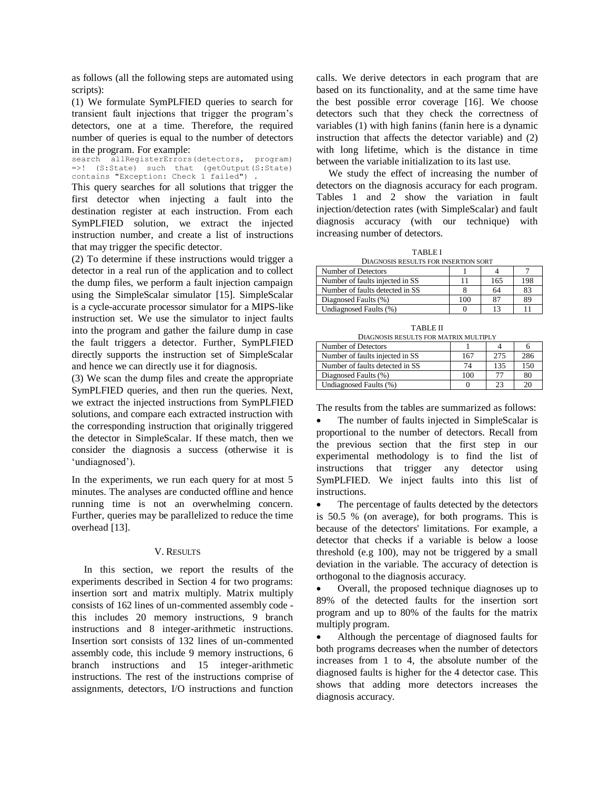as follows (all the following steps are automated using scripts):

(1) We formulate SymPLFIED queries to search for transient fault injections that trigger the program"s detectors, one at a time. Therefore, the required number of queries is equal to the number of detectors in the program. For example:

search allRegisterErrors(detectors, program) =>! (S:State) such that (getOutput(S:State) contains "Exception: Check 1 failed") .

This query searches for all solutions that trigger the first detector when injecting a fault into the destination register at each instruction. From each SymPLFIED solution, we extract the injected instruction number, and create a list of instructions that may trigger the specific detector.

(2) To determine if these instructions would trigger a detector in a real run of the application and to collect the dump files, we perform a fault injection campaign using the SimpleScalar simulator [15]. SimpleScalar is a cycle-accurate processor simulator for a MIPS-like instruction set. We use the simulator to inject faults into the program and gather the failure dump in case the fault triggers a detector. Further, SymPLFIED directly supports the instruction set of SimpleScalar and hence we can directly use it for diagnosis.

(3) We scan the dump files and create the appropriate SymPLFIED queries, and then run the queries. Next, we extract the injected instructions from SymPLFIED solutions, and compare each extracted instruction with the corresponding instruction that originally triggered the detector in SimpleScalar. If these match, then we consider the diagnosis a success (otherwise it is 'undiagnosed').

In the experiments, we run each query for at most 5 minutes. The analyses are conducted offline and hence running time is not an overwhelming concern. Further, queries may be parallelized to reduce the time overhead [13].

# V. RESULTS

In this section, we report the results of the experiments described in Section 4 for two programs: insertion sort and matrix multiply. Matrix multiply consists of 162 lines of un-commented assembly code this includes 20 memory instructions, 9 branch instructions and 8 integer-arithmetic instructions. Insertion sort consists of 132 lines of un-commented assembly code, this include 9 memory instructions, 6 branch instructions and 15 integer-arithmetic instructions. The rest of the instructions comprise of assignments, detectors, I/O instructions and function calls. We derive detectors in each program that are based on its functionality, and at the same time have the best possible error coverage [16]. We choose detectors such that they check the correctness of variables (1) with high fanins (fanin here is a dynamic instruction that affects the detector variable) and (2) with long lifetime, which is the distance in time between the variable initialization to its last use.

We study the effect of increasing the number of detectors on the diagnosis accuracy for each program. Tables 1 and 2 show the variation in fault injection/detection rates (with SimpleScalar) and fault diagnosis accuracy (with our technique) with increasing number of detectors.

TABLE I DIAGNOSIS RESULTS FOR INSERTION SORT

| Number of Detectors             |     |     |     |
|---------------------------------|-----|-----|-----|
| Number of faults injected in SS |     | 165 | 198 |
| Number of faults detected in SS |     | 64  | 83  |
| Diagnosed Faults (%)            | 100 |     | 89  |
| Undiagnosed Faults (%)          |     | 12  |     |

TABLE II DIAGNOSIS RESULTS FOR MATRIX MULTIPLY

| Number of Detectors             |     |     |     |  |
|---------------------------------|-----|-----|-----|--|
| Number of faults injected in SS | 167 | 275 | 286 |  |
| Number of faults detected in SS | 74  | 135 | 150 |  |
| Diagnosed Faults (%)            | 100 | 77  | 80  |  |
| Undiagnosed Faults (%)          |     | 23  |     |  |

The results from the tables are summarized as follows:

 The number of faults injected in SimpleScalar is proportional to the number of detectors. Recall from the previous section that the first step in our experimental methodology is to find the list of instructions that trigger any detector using SymPLFIED. We inject faults into this list of instructions.

• The percentage of faults detected by the detectors is 50.5 % (on average), for both programs. This is because of the detectors' limitations. For example, a detector that checks if a variable is below a loose threshold (e.g 100), may not be triggered by a small deviation in the variable. The accuracy of detection is orthogonal to the diagnosis accuracy.

 Overall, the proposed technique diagnoses up to 89% of the detected faults for the insertion sort program and up to 80% of the faults for the matrix multiply program.

 Although the percentage of diagnosed faults for both programs decreases when the number of detectors increases from 1 to 4, the absolute number of the diagnosed faults is higher for the 4 detector case. This shows that adding more detectors increases the diagnosis accuracy.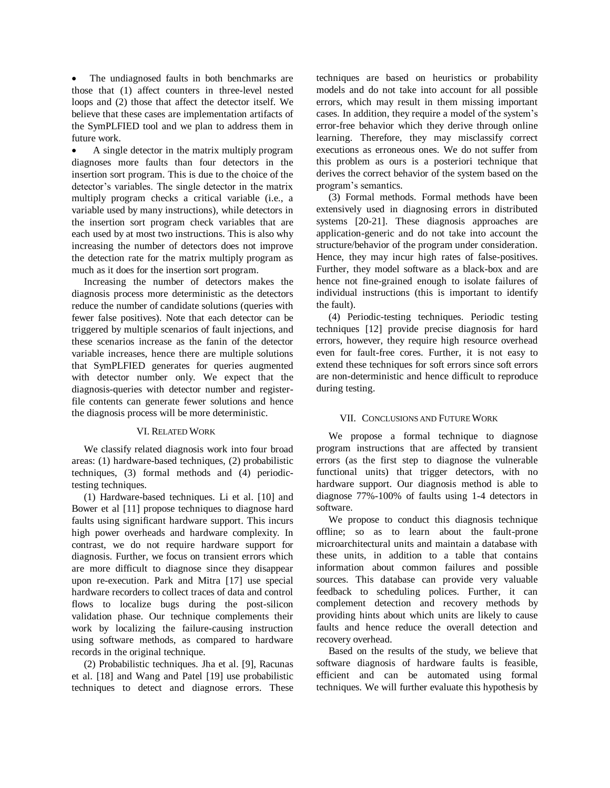The undiagnosed faults in both benchmarks are those that (1) affect counters in three-level nested loops and (2) those that affect the detector itself. We believe that these cases are implementation artifacts of the SymPLFIED tool and we plan to address them in future work.

 A single detector in the matrix multiply program diagnoses more faults than four detectors in the insertion sort program. This is due to the choice of the detector"s variables. The single detector in the matrix multiply program checks a critical variable (i.e., a variable used by many instructions), while detectors in the insertion sort program check variables that are each used by at most two instructions. This is also why increasing the number of detectors does not improve the detection rate for the matrix multiply program as much as it does for the insertion sort program.

Increasing the number of detectors makes the diagnosis process more deterministic as the detectors reduce the number of candidate solutions (queries with fewer false positives). Note that each detector can be triggered by multiple scenarios of fault injections, and these scenarios increase as the fanin of the detector variable increases, hence there are multiple solutions that SymPLFIED generates for queries augmented with detector number only. We expect that the diagnosis-queries with detector number and registerfile contents can generate fewer solutions and hence the diagnosis process will be more deterministic.

# VI. RELATED WORK

We classify related diagnosis work into four broad areas: (1) hardware-based techniques, (2) probabilistic techniques, (3) formal methods and (4) periodictesting techniques.

(1) Hardware-based techniques. Li et al. [10] and Bower et al [11] propose techniques to diagnose hard faults using significant hardware support. This incurs high power overheads and hardware complexity. In contrast, we do not require hardware support for diagnosis. Further, we focus on transient errors which are more difficult to diagnose since they disappear upon re-execution. Park and Mitra [17] use special hardware recorders to collect traces of data and control flows to localize bugs during the post-silicon validation phase. Our technique complements their work by localizing the failure-causing instruction using software methods, as compared to hardware records in the original technique.

(2) Probabilistic techniques. Jha et al. [9], Racunas et al. [18] and Wang and Patel [19] use probabilistic techniques to detect and diagnose errors. These

techniques are based on heuristics or probability models and do not take into account for all possible errors, which may result in them missing important cases. In addition, they require a model of the system"s error-free behavior which they derive through online learning. Therefore, they may misclassify correct executions as erroneous ones. We do not suffer from this problem as ours is a posteriori technique that derives the correct behavior of the system based on the program"s semantics.

(3) Formal methods. Formal methods have been extensively used in diagnosing errors in distributed systems [20-21]. These diagnosis approaches are application-generic and do not take into account the structure/behavior of the program under consideration. Hence, they may incur high rates of false-positives. Further, they model software as a black-box and are hence not fine-grained enough to isolate failures of individual instructions (this is important to identify the fault).

(4) Periodic-testing techniques. Periodic testing techniques [12] provide precise diagnosis for hard errors, however, they require high resource overhead even for fault-free cores. Further, it is not easy to extend these techniques for soft errors since soft errors are non-deterministic and hence difficult to reproduce during testing.

# VII. CONCLUSIONS AND FUTURE WORK

We propose a formal technique to diagnose program instructions that are affected by transient errors (as the first step to diagnose the vulnerable functional units) that trigger detectors, with no hardware support. Our diagnosis method is able to diagnose 77%-100% of faults using 1-4 detectors in software.

We propose to conduct this diagnosis technique offline; so as to learn about the fault-prone microarchitectural units and maintain a database with these units, in addition to a table that contains information about common failures and possible sources. This database can provide very valuable feedback to scheduling polices. Further, it can complement detection and recovery methods by providing hints about which units are likely to cause faults and hence reduce the overall detection and recovery overhead.

Based on the results of the study, we believe that software diagnosis of hardware faults is feasible, efficient and can be automated using formal techniques. We will further evaluate this hypothesis by